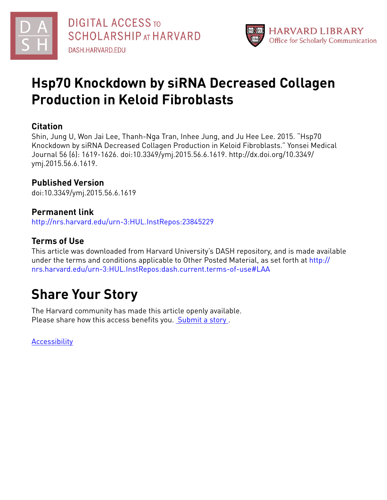



# **Hsp70 Knockdown by siRNA Decreased Collagen Production in Keloid Fibroblasts**

# **Citation**

Shin, Jung U, Won Jai Lee, Thanh-Nga Tran, Inhee Jung, and Ju Hee Lee. 2015. "Hsp70 Knockdown by siRNA Decreased Collagen Production in Keloid Fibroblasts." Yonsei Medical Journal 56 (6): 1619-1626. doi:10.3349/ymj.2015.56.6.1619. http://dx.doi.org/10.3349/ ymj.2015.56.6.1619.

# **Published Version**

doi:10.3349/ymj.2015.56.6.1619

# **Permanent link**

<http://nrs.harvard.edu/urn-3:HUL.InstRepos:23845229>

# **Terms of Use**

This article was downloaded from Harvard University's DASH repository, and is made available under the terms and conditions applicable to Other Posted Material, as set forth at [http://](http://nrs.harvard.edu/urn-3:HUL.InstRepos:dash.current.terms-of-use#LAA) [nrs.harvard.edu/urn-3:HUL.InstRepos:dash.current.terms-of-use#LAA](http://nrs.harvard.edu/urn-3:HUL.InstRepos:dash.current.terms-of-use#LAA)

# **Share Your Story**

The Harvard community has made this article openly available. Please share how this access benefits you. [Submit](http://osc.hul.harvard.edu/dash/open-access-feedback?handle=&title=Hsp70%20Knockdown%20by%20siRNA%20Decreased%20Collagen%20Production%20in%20Keloid%20Fibroblasts&community=1/4454685&collection=1/4454686&owningCollection1/4454686&harvardAuthors=c537045bebfa4f5cab33a1660a6eaa79&department) a story .

[Accessibility](https://dash.harvard.edu/pages/accessibility)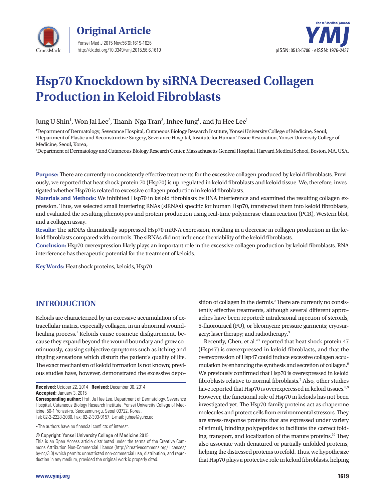



# **Hsp70 Knockdown by siRNA Decreased Collagen Production in Keloid Fibroblasts**

Jung U Shin $^{\rm l}$ , Won Jai Lee $^{\rm 2}$ , Thanh-Nga Tran $^{\rm 3}$ , Inhee Jung $^{\rm l}$ , and Ju Hee Lee $^{\rm l}$ 

1 Department of Dermatology, Severance Hospital, Cutaneous Biology Research Institute, Yonsei University College of Medicine, Seoul; 2 Department of Plastic and Reconstructive Surgery, Severance Hospital, Institute for Human Tissue Restoration, Yonsei University College of Medicine, Seoul, Korea;

3 Department of Dermatology and Cutaneous Biology Research Center, Massachusetts General Hospital, Harvard Medical School, Boston, MA, USA.

**Purpose:** There are currently no consistently effective treatments for the excessive collagen produced by keloid fibroblasts. Previously, we reported that heat shock protein 70 (Hsp70) is up-regulated in keloid fibroblasts and keloid tissue. We, therefore, investigated whether Hsp70 is related to excessive collagen production in keloid fibroblasts.

**Materials and Methods:** We inhibited Hsp70 in keloid fibroblasts by RNA interference and examined the resulting collagen expression. Thus, we selected small interfering RNAs (siRNAs) specific for human Hsp70, transfected them into keloid fibroblasts, and evaluated the resulting phenotypes and protein production using real-time polymerase chain reaction (PCR), Western blot, and a collagen assay.

**Results:** The siRNAs dramatically suppressed Hsp70 mRNA expression, resulting in a decrease in collagen production in the keloid fibroblasts compared with controls. The siRNAs did not influence the viability of the keloid fibroblasts.

**Conclusion:** Hsp70 overexpression likely plays an important role in the excessive collagen production by keloid fibroblasts. RNA interference has therapeutic potential for the treatment of keloids.

**Key Words:** Heat shock proteins, keloids, Hsp70

# **INTRODUCTION**

Keloids are characterized by an excessive accumulation of extracellular matrix, especially collagen, in an abnormal woundhealing process.<sup>1</sup> Keloids cause cosmetic disfigurement, because they expand beyond the wound boundary and grow continuously, causing subjective symptoms such as itching and tingling sensations which disturb the patient's quality of life. The exact mechanism of keloid formation is not known; previous studies have, however, demonstrated the excessive depo-

•The authors have no financial conflicts of interest.

© Copyright: Yonsei University College of Medicine 2015

This is an Open Access article distributed under the terms of the Creative Commons Attribution Non-Commercial License (http://creativecommons.org/ licenses/ by-nc/3.0) which permits unrestricted non-commercial use, distribution, and reproduction in any medium, provided the original work is properly cited.

sition of collagen in the dermis.<sup>2</sup> There are currently no consistently effective treatments, although several different approaches have been reported: intralesional injection of steroids, 5-fluorouracil (FU), or bleomycin; pressure garments; cryosurgery; laser therapy; and radiotherapy.3

Recently, Chen, et al.<sup>4,5</sup> reported that heat shock protein 47 (Hsp47) is overexpressed in keloid fibroblasts, and that the overexpression of Hsp47 could induce excessive collagen accumulation by enhancing the synthesis and secretion of collagen.6 We previously confirmed that Hsp70 is overexpressed in keloid fibroblasts relative to normal fibroblasts.<sup>7</sup> Also, other studies have reported that Hsp70 is overexperessed in keloid tissues.<sup>8,9</sup> However, the functional role of Hsp70 in keloids has not been investigated yet. The Hsp70-family proteins act as chaperone molecules and protect cells from environmental stressors. They are stress-response proteins that are expressed under variety of stimuli, binding polypeptides to facilitate the correct folding, transport, and localization of the mature proteins.<sup>10</sup> They also associate with denatured or partially unfolded proteins, helping the distressed proteins to refold. Thus, we hypothesize that Hsp70 plays a protective role in keloid fibroblasts, helping

**Received:** October 22, 2014 **Revised:** December 30, 2014 **Accepted:** January 3, 2015

**Corresponding author:** Prof. Ju Hee Lee, Department of Dermatology, Severance Hospital, Cutaneous Biology Research Institute, Yonsei University College of Medicine, 50-1 Yonsei-ro, Seodaemun-gu, Seoul 03722, Korea. Tel: 82-2-2228-2080, Fax: 82-2-393-9157, E-mail: juhee@yuhs.ac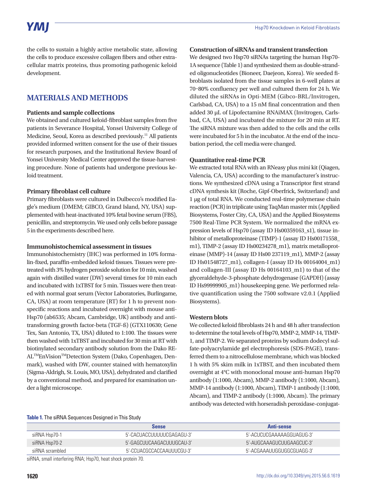the cells to sustain a highly active metabolic state, allowing the cells to produce excessive collagen fibers and other extracellular matrix proteins, thus promoting pathogenic keloid development.

## **MATERIALS AND METHODS**

#### **Patients and sample collections**

We obtained and cultured keloid-fibroblast samples from five patients in Severance Hospital, Yonsei University College of Medicine, Seoul, Korea as described previously.<sup>11</sup> All patients provided informed written consent for the use of their tissues for research purposes, and the Institutional Review Board of Yonsei University Medical Center approved the tissue-harvesting procedure. None of patients had undergone previous keloid treatment.

#### **Primary fibroblast cell culture**

Primary fibroblasts were cultured in Dulbecco's modified Eagle's medium (DMEM; GIBCO, Grand Island, NY, USA) supplemented with heat-inactivated 10% fetal bovine serum (FBS), penicillin, and streptomycin. We used only cells before passage 5 in the experiments described here.

#### **Immunohistochemical assessment in tissues**

Immunohistochemistry (IHC) was performed in 10% formalin-fixed, paraffin-embedded keloid tissues. Tissues were pretreated with 3% hydrogen peroxide solution for 10 min, washed again with distilled water (DW) several times for 10 min each and incubated with 1xTBST for 5 min. Tissues were then treated with normal goat serum (Vector Laboratories, Burlingame, CA, USA) at room temperature (RT) for 1 h to prevent nonspecific reactions and incubated overnight with mouse anti-Hsp70 (ab6535; Abcam, Cambridge, UK) antibody and antitransforming growth factor-beta (TGF-ß) (GTX110630; Gene Tex, San Antonio, TX, USA) diluted to 1:100. The tissues were then washed with 1xTBST and incubated for 30 min at RT with biotinylated secondary antibody solution from the Dako RE-AL<sup>™</sup>EnVision<sup>™</sup>Detection System (Dako, Copenhagen, Denmark), washed with DW, counter stained with hematoxylin (Sigma-Aldrigh, St. Louis, MO, USA), dehydrated and clarified by a conventional method, and prepared for examination under a light microscope.

#### **Construction of siRNAs and transient transfection**

We designed two Hsp70 siRNAs targeting the human Hsp70- 1A sequence (Table 1) and synthesized them as double-stranded oligonucleotides (Bioneer, Daejeon, Korea). We seeded fibroblasts isolated from the tissue samples in 6-well plates at 70–80% confluency per well and cultured them for 24 h. We diluted the siRNAs in Opti-MEM (Gibco-BRL/Invitrogen, Carlsbad, CA, USA) to a 15 nM final concentration and then added 30 μL of Lipofectamine RNAiMAX (Invitrogen, Carlsbad, CA, USA) and incubated the mixture for 20 min at RT. The siRNA mixture was then added to the cells and the cells were incubated for 5 h in the incubator. At the end of the incubation period, the cell media were changed.

#### **Quantitative real-time PCR**

We extracted total RNA with an RNeasy plus mini kit (Qiagen, Valencia, CA, USA) according to the manufacturer's instructions. We synthesized cDNA using a Transcriptor first strand cDNA synthesis kit (Roche, Gipf-Oberfrick, Switzerland) and 1 μg of total RNA. We conducted real-time polymerase chain reaction (PCR) in triplicate using TaqMan master mix (Applied Biosystems, Foster City, CA, USA) and the Applied Biosystems 7500 Real-Time PCR System. We normalized the mRNA expression levels of Hsp70 (assay ID Hs00359163\_s1), tissue inhibitor of metalloproteinase (TIMP)-1 (assay ID Hs00171558\_ m1), TIMP-2 (assay ID Hs00234278\_m1), matrix metalloproteinase (MMP)-14 (assay ID Hs00 237119\_m1), MMP-2 (assay ID Hs01548727\_m1), collagen-I (assay ID Hs 00164004\_m1) and collagen-III (assay ID Hs 00164103\_m1) to that of the glyceraldehyde-3-phosphate dehydrogenase (GAPDH) (assay ID Hs99999905\_m1) housekeeping gene. We performed relative quantification using the 7500 software v2.0.1 (Applied Biosystems).

#### **Western blots**

We collected keloid fibroblasts 24 h and 48 h after transfection to determine the total levels of Hsp70, MMP-2, MMP-14, TIMP-1, and TIMP-2. We separated proteins by sodium dodecyl sulfate-polyacrylamide gel electrophoresis (SDS-PAGE), transferred them to a nitrocellulose membrane, which was blocked 1 h with 5% skim milk in 1xTBST, and then incubated them overnight at 4°C with monoclonal mouse anti-human Hsp70 antibody (1:1000, Abcam), MMP-2 antibody (1:1000, Abcam), MMP-14 antibody (1:1000, Abcam), TIMP-1 antibody (1:1000, Abcam), and TIMP-2 antibody (1:1000, Abcam). The primary antibody was detected with horseradish peroxidase-conjugat-

#### **Table 1.** The siRNA Sequences Designed in This Study

|                 | <b>Sense</b>               | <b>Anti-sense</b>         |
|-----------------|----------------------------|---------------------------|
| siRNA Hsp70-1   | 5'-CACUACCULUUUUCGAGAGU-3' | 5'-ACUCUCGAAAAAGGUAGUG-3' |
| siRNA Hsp70-2   | 5'-GAGCUUCAAGACUUUGCAU-3'  | 5'-AUGCAAAGUCUUGAAGCUC-3' |
| siRNA scrambled | 5'-CCUACGCCACCAAUUUCGU-3'  | 5'-ACGAAAUUGGUGGCGUAGG-3' |

siRNA, small interfering RNA; Hsp70, heat shock protein 70.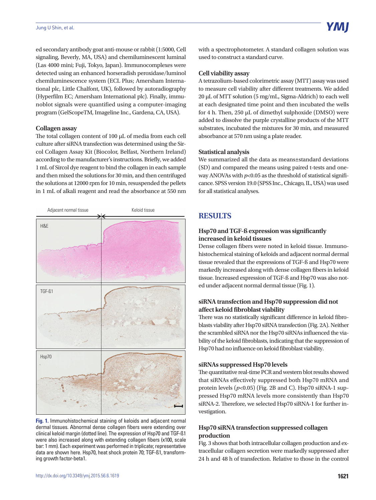#### Jung U Shin, et al.

ed secondary antibody goat anti-mouse or rabbit (1:5000, Cell signaling, Beverly, MA, USA) and chemiluminescent luminal (Las 4000 mini; Fuji, Tokyo, Japan). Immunocomplexes were detected using an enhanced horseradish peroxidase/luminol chemiluminescence system (ECL Plus; Amersham International plc, Little Chalfont, UK), followed by autoradiography (Hyperfilm EC; Amersham International plc). Finally, immunoblot signals were quantified using a computer-imaging program (GelScopeTM, Imageline Inc., Gardena, CA, USA).

#### **Collagen assay**

The total collagen content of 100 μL of media from each cell culture after siRNA transfection was determined using the Sircol Collagen Assay Kit (Biocolor, Belfast, Northern Ireland) according to the manufacturer's instructions. Briefly, we added 1 mL of Sircol dye reagent to bind the collagen in each sample and then mixed the solutions for 30 min, and then centrifuged the solutions at 12000 rpm for 10 min, resuspended the pellets in 1 mL of alkali reagent and read the absorbance at 550 nm



**Fig. 1.** Immunohistochemical staining of keloids and adjacent normal dermal tissues. Abnormal dense collagen fibers were extending over clinical keloid margin (dotted line). The expression of Hsp70 and TGF-ß1 were also increased along with extending collagen fibers (x100, scale bar: 1 mm). Each experiment was performed in triplicate; representative data are shown here. Hsp70, heat shock protein 70; TGF-ß1, transforming growth factor-beta1.

with a spectrophotometer. A standard collagen solution was used to construct a standard curve.

### **Cell viability assay**

A tetrazolium-based colorimetric assay (MTT) assay was used to measure cell viability after different treatments. We added 20 μL of MTT solution (5 mg/mL, Sigma-Aldrich) to each well at each designated time point and then incubated the wells for 4 h. Then, 250 μL of dimethyl sulphoxide (DMSO) were added to dissolve the purple crystalline products of the MTT substrates, incubated the mixtures for 30 min, and measured absorbance at 570 nm using a plate reader.

#### **Statistical analysis**

We summarized all the data as means±standard deviations (SD) and compared the means using paired t-tests and oneway ANOVAs with  $p<0.05$  as the threshold of statistical significance. SPSS version 19.0 (SPSS Inc., Chicago, IL, USA) was used for all statistical analyses.

# **RESULTS**

### **Hsp70 and TGF-ß expression was significantly increased in keloid tissues**

Dense collagen fibers were noted in keloid tissue. Immunohistochemical staining of keloids and adjacent normal dermal tissue revealed that the expressions of TGF-ß and Hsp70 were markedly increased along with dense collagen fibers in keloid tissue. Increased expression of TGF-ß and Hsp70 was also noted under adjacent normal dermal tissue (Fig. 1).

### **siRNA transfection and Hsp70 suppression did not affect keloid fibroblast viability**

There was no statistically significant difference in keloid fibroblasts viability after Hsp70 siRNA transfection (Fig. 2A). Neither the scrambled siRNA nor the Hsp70 siRNAs influenced the viability of the keloid fibroblasts, indicating that the suppression of Hsp70 had no influence on keloid fibroblast viability.

## **siRNAs suppressed Hsp70 levels**

The quantitative real-time PCR and western blot results showed that siRNAs effectively suppressed both Hsp70 mRNA and protein levels  $(p<0.05)$  (Fig. 2B and C). Hsp70 siRNA-1 suppressed Hsp70 mRNA levels more consistently than Hsp70 siRNA-2. Therefore, we selected Hsp70 siRNA-1 for further investigation.

## **Hsp70 siRNA transfection suppressed collagen production**

Fig. 3 shows that both intracellular collagen production and extracellular collagen secretion were markedly suppressed after 24 h and 48 h of transfection. Relative to those in the control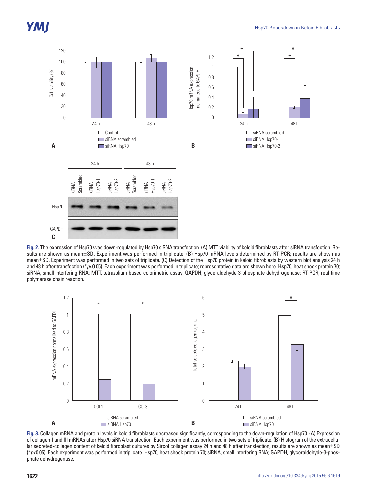

**Fig. 2.** The expression of Hsp70 was down-regulated by Hsp70 siRNA transfection. (A) MTT viability of keloid fibroblasts after siRNA transfection. Results are shown as mean±SD. Experiment was performed in triplicate. (B) Hsp70 mRNA levels determined by RT-PCR; results are shown as mean±SD. Experiment was performed in two sets of triplicate. (C) Detection of the Hsp70 protein in keloid fibroblasts by western blot analysis 24 h and 48 h after transfection (\*p<0.05). Each experiment was performed in triplicate; representative data are shown here. Hsp70, heat shock protein 70; siRNA, small interfering RNA; MTT, tetrazolium-based colorimetric assay; GAPDH, glyceraldehyde-3-phosphate dehydrogenase; RT-PCR, real-time polymerase chain reaction.



Fig. 3. Collagen mRNA and protein levels in keloid fibroblasts decreased significantly, corresponding to the down-regulation of Hsp70. (A) Expression of collagen-I and III mRNAs after Hsp70 siRNA transfection. Each experiment was performed in two sets of triplicate. (B) Histogram of the extracellular secreted-collagen content of keloid fibroblast cultures by Sircol collagen assay 24 h and 48 h after transfection; results are shown as mean±SD (\**p*<0.05). Each experiment was performed in triplicate. Hsp70, heat shock protein 70; siRNA, small interfering RNA; GAPDH, glyceraldehyde-3-phosphate dehydrogenase.

**YMI**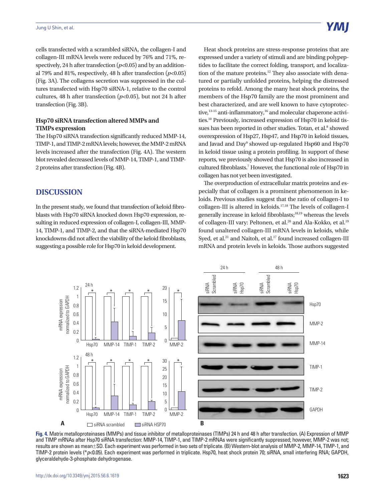cells transfected with a scrambled siRNA, the collagen-I and collagen-III mRNA levels were reduced by 76% and 71%, respectively, 24 h after transfection ( $p$ <0.05) and by an additional 79% and 81%, respectively, 48 h after transfection (*p*<0.05) (Fig. 3A). The collagens secretion was suppressed in the cultures transfected with Hsp70 siRNA-1, relative to the control cultures, 48 h after transfection (*p*<0.05), but not 24 h after transfection (Fig. 3B).

#### **Hsp70 siRNA transfection altered MMPs and TIMPs expression**

The Hsp70 siRNA transfection significantly reduced MMP-14, TIMP-1, and TIMP-2 mRNA levels; however, the MMP-2 mRNA levels increased after the transfection (Fig. 4A). The western blot revealed decreased levels of MMP-14, TIMP-1, and TIMP-2 proteins after transfection (Fig. 4B).

## **DISCUSSION**

In the present study, we found that transfection of keloid fibroblasts with Hsp70 siRNA knocked down Hsp70 expression, resulting in reduced expression of collagen-I, collagen-III, MMP-14, TIMP-1, and TIMP-2, and that the siRNA-mediated Hsp70 knockdowns did not affect the viability of the keloid fibroblasts, suggesting a possible role for Hsp70 in keloid development.

Heat shock proteins are stress-response proteins that are expressed under a variety of stimuli and are binding polypeptides to facilitate the correct folding, transport, and localization of the mature proteins.<sup>12</sup> They also associate with denatured or partially unfolded proteins, helping the distressed proteins to refold. Among the many heat shock proteins, the members of the Hsp70 family are the most prominent and best characterized, and are well known to have cytoprotective,<sup>13-15</sup> anti-inflammatory,<sup>16</sup> and molecular chaperone activities.10 Previously, increased expression of Hsp70 in keloid tissues has been reported in other studies. Totan, et al.<sup>8</sup> showed overexpression of Hsp27, Hsp47, and Hsp70 in keloid tissues, and Javad and Day<sup>9</sup> showed up-regulated Hsp60 and Hsp70 in keloid tissue using a protein profiling. In support of these reports, we previously showed that Hsp70 is also increased in cultured fibroblasts.<sup>7</sup> However, the functional role of Hsp70 in collagen has not yet been investigated.

The overproduction of extracellular matrix proteins and especially that of collagen is a prominent phenomenon in keloids. Previous studies suggest that the ratio of collagen-I to collagen-III is altered in keloids.17,18 The levels of collagen-I generally increase in keloid fibroblasts;18,19 whereas the levels of collagen-III vary: Peltonen, et al.<sup>20</sup> and Ala-Kokko, et al.<sup>19</sup> found unaltered collagen-III mRNA levels in keloids, while Syed, et al.<sup>21</sup> and Naitoh, et al.<sup>17</sup> found increased collagen-III mRNA and protein levels in keloids. Those authors suggested



**Fig. 4.** Matrix metalloproteinases (MMPs) and tissue inhibitor of metalloproteinases (TIMPs) 24 h and 48 h after transfection. (A) Expression of MMP and TIMP mRNAs after Hsp70 siRNA transfection: MMP-14, TIMP-1, and TIMP-2 mRNAs were significantly suppressed; however, MMP-2 was not; results are shown as mean±SD. Each experiment was performed in two sets of triplicate. (B) Western-blot analysis of MMP-2, MMP-14, TIMP-1, and TIMP-2 protein levels (\**p*<0.05). Each experiment was performed in triplicate. Hsp70, heat shock protein 70; siRNA, small interfering RNA; GAPDH, glyceraldehyde-3-phosphate dehydrogenase.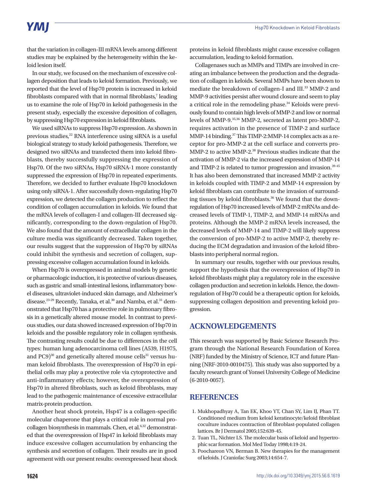# **YMI**

that the variation in collagen-III mRNA levels among different studies may be explained by the heterogeneity within the keloid lesion itself.

In our study, we focused on the mechanism of excessive collagen deposition that leads to keloid formation. Previously, we reported that the level of Hsp70 protein is increased in keloid fibroblasts compared with that in normal fibroblasts,<sup>7</sup> leading us to examine the role of Hsp70 in keloid pathogenesis in the present study, especially the excessive deposition of collagen, by suppressing Hsp70 expression in keloid fibroblasts.

We used siRNAs to suppress Hsp70 expression. As shown in previous studies,<sup>22</sup> RNA interference using siRNA is a useful biological strategy to study keloid pathogenesis. Therefore, we designed two siRNAs and transfected them into keloid fibroblasts, thereby successfully suppressing the expression of Hsp70. Of the two siRNAs, Hsp70 siRNA-1 more constantly suppressed the expression of Hsp70 in repeated experiments. Therefore, we decided to further evaluate Hsp70 knockdown using only siRNA-1. After successfully down-regulating Hsp70 expression, we detected the collagen production to reflect the condition of collagen accumulation in keloids. We found that the mRNA levels of collagen-I and collagen-III decreased significantly, corresponding to the down-regulation of Hsp70. We also found that the amount of extracellular collagen in the culture media was significantly decreased. Taken together, our results suggest that the suppression of Hsp70 by siRNAs could inhibit the synthesis and secretion of collagen, suppressing excessive collagen accumulation found in keloids.

When Hsp70 is overexpressed in animal models by genetic or pharmacologic induction, it is protective of various diseases, such as gastric and small-intestinal lesions, inflammatory bowel diseases, ultraviolet-induced skin damage, and Alzheimer's disease.<sup>23-29</sup> Recently, Tanaka, et al.<sup>30</sup> and Namba, et al.<sup>31</sup> demonstrated that Hsp70 has a protective role in pulmonary fibrosis in a genetically altered mouse model. In contrast to previous studies, our data showed increased expression of Hsp70 in keloids and the possible regulatory role in collagen synthesis. The contrasting results could be due to differences in the cell types: human lung adenocarcinoma cell lines (A539, H1975, and PC9 $30$ <sup>30</sup> and genetically altered mouse cells<sup>31</sup> versus human keloid fibroblasts. The overexpression of Hsp70 in epithelial cells may play a protective role via cytoprotective and anti-inflammatory effects; however, the overexpression of Hsp70 in altered fibroblasts, such as keloid fibroblasts, may lead to the pathogenic maintenance of excessive extracellular matrix-protein production.

Another heat shock protein, Hsp47 is a collagen-specific molecular chaperone that plays a critical role in normal procollagen biosynthesis in mammals. Chen, et al.<sup>6,32</sup> demonstrated that the overexpression of Hsp47 in keloid fibroblasts may induce excessive collagen accumulation by enhancing the synthesis and secretion of collagen. Their results are in good agreement with our present results: overexpressed heat shock proteins in keloid fibroblasts might cause excessive collagen accumulation, leading to keloid formation.

Collagenases such as MMPs and TIMPs are involved in creating an imbalance between the production and the degradation of collagen in keloids. Several MMPs have been shown to mediate the breakdown of collagen-I and III.33 MMP-2 and MMP-9 activities persist after wound closure and seem to play a critical role in the remodeling phase.34 Keloids were previously found to contain high levels of MMP-2 and low or normal levels of MMP-9.<sup>35,36</sup> MMP-2, secreted as latent pro-MMP-2, requires activation in the presence of TIMP-2 and surface MMP-14 binding.37 This TIMP-2:MMP-14 complex acts as a receptor for pro-MMP-2 at the cell surface and converts pro-MMP-2 to active MMP-2.38 Previous studies indicate that the activation of MMP-2 via the increased expression of MMP-14 and TIMP-2 is related to tumor progression and invasion.<sup>39-45</sup> It has also been demonstrated that increased MMP-2 activity in keloids coupled with TIMP-2 and MMP-14 expression by keloid fibroblasts can contribute to the invasion of surrounding tissues by keloid fibroblasts.<sup>36</sup> We found that the downregulation of Hsp70 increased levels of MMP-2 mRNAs and decreased levels of TIMP-1, TIMP-2, and MMP-14 mRNAs and proteins. Although the MMP-2 mRNA levels increased, the decreased levels of MMP-14 and TIMP-2 will likely suppress the conversion of pro-MMP-2 to active MMP-2, thereby reducing the ECM degradation and invasion of the keloid fibroblasts into peripheral normal region.

In summary our results, together with our previous results, support the hypothesis that the overexpression of Hsp70 in keloid fibroblasts might play a regulatory role in the excessive collagen production and secretion in keloids. Hence, the downregulation of Hsp70 could be a therapeutic option for keloids, suppressing collagen deposition and preventing keloid progression.

## **ACKNOWLEDGEMENTS**

This research was supported by Basic Science Research Program through the National Research Foundation of Korea (NRF) funded by the Ministry of Science, ICT and future Planning (NRF-2010-0010475). This study was also supported by a faculty research grant of Yonsei University College of Medicine (6-2010-0057).

## **REFERENCES**

- 1. Mukhopadhyay A, Tan EK, Khoo YT, Chan SY, Lim IJ, Phan TT. Conditioned medium from keloid keratinocyte/keloid fibroblast coculture induces contraction of fibroblast-populated collagen lattices. Br J Dermatol 2005;152:639-45.
- 2. Tuan TL, Nichter LS. The molecular basis of keloid and hypertrophic scar formation. Mol Med Today 1998;4:19-24.
- 3. Poochareon VN, Berman B. New therapies for the management of keloids. J Craniofac Surg 2003;14:654-7.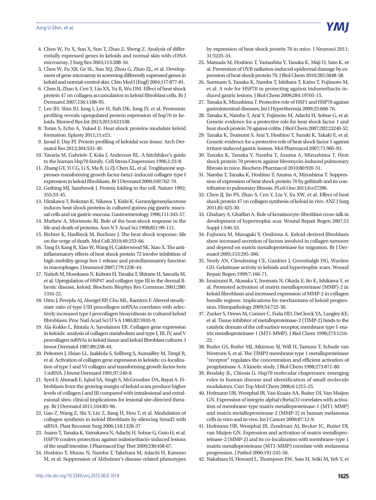- 4. Chen W, Fu X, Sun X, Sun T, Zhao Z, Sheng Z. Analysis of differentially expressed genes in keloids and normal skin with cDNA microarray. J Surg Res 2003;113:208-16.
- 5. Chen W, Fu XB, Ge SL, Sun XQ, Zhou G, Zhao ZL, et al. Development of gene microarray in screening differently expressed genes in keloid and normal-control skin. Chin Med J (Engl) 2004;117:877-81.
- 6. Chen JJ, Zhao S, Cen Y, Liu XX, Yu R, Wu DM. Effect of heat shock protein 47 on collagen accumulation in keloid fibroblast cells. Br J Dermatol 2007;156:1188-95.
- 7. Lee JH, Shin JU, Jung I, Lee H, Rah DK, Jung JY, et al. Proteomic profiling reveals upregulated protein expression of hsp70 in keloids. Biomed Res Int 2013;2013:621538.
- 8. Totan S, Echo A, Yuksel E. Heat shock proteins modulate keloid formation. Eplasty 2011;11:e21.
- 9. Javad F, Day PJ. Protein profiling of keloidal scar tissue. Arch Dermatol Res 2012;304:533-40.
- 10. Tavaria M, Gabriele T, Kola I, Anderson RL. A hitchhiker's guide to the human Hsp70 family. Cell Stress Chaperones 1996;1:23-8.
- 11. Zhang GY, Yi CG, Li X, Ma B, Li ZJ, Chen XL, et al. Troglitazone suppresses transforming growth factor-beta1-induced collagen type I expression in keloid fibroblasts. Br J Dermatol 2009;160:762-70.
- 12. Gething MJ, Sambrook J. Protein folding in the cell. Nature 1992; 355:33-45.
- 13. Hirakawa T, Rokutan K, Nikawa T, Kishi K. Geranylgeranylacetone induces heat shock proteins in cultured guinea pig gastric mucosal cells and rat gastric mucosa. Gastroenterology 1996;111:345-57.
- 14. Mathew A, Morimoto RI. Role of the heat-shock response in the life and death of proteins. Ann N Y Acad Sci 1998;851:99-111.
- 15. Richter K, Haslbeck M, Buchner J. The heat shock response: life on the verge of death. Mol Cell 2010;40:253-66.
- 16. Tang D, Kang R, Xiao W, Wang H, Calderwood SK, Xiao X. The antiinflammatory effects of heat shock protein 72 involve inhibition of high-mobility-group box 1 release and proinflammatory function in macrophages. J Immunol 2007;179:1236-44.
- 17. Naitoh M, Hosokawa N, Kubota H, Tanaka T, Shirane H, Sawada M, et al. Upregulation of HSP47 and collagen type III in the dermal fibrotic disease, keloid. Biochem Biophys Res Commun 2001;280: 1316-22.
- 18. Uitto J, Perejda AJ, Abergel RP, Chu ML, Ramirez F. Altered steadystate ratio of type I/III procollagen mRNAs correlates with selectively increased type I procollagen biosynthesis in cultured keloid fibroblasts. Proc Natl Acad Sci U S A 1985;82:5935-9.
- 19. Ala-Kokko L, Rintala A, Savolainen ER. Collagen gene expression in keloids: analysis of collagen metabolism and type I, III, IV, and V procollagen mRNAs in keloid tissue and keloid fibroblast cultures. J Invest Dermatol 1987;89:238-44.
- 20. Peltonen J, Hsiao LL, Jaakkola S, Sollberg S, Aumailley M, Timpl R, et al. Activation of collagen gene expression in keloids: co-localization of type I and VI collagen and transforming growth factor-beta 1 mRNA. J Invest Dermatol 1991;97:240-8.
- 21. Syed F, Ahmadi E, Iqbal SA, Singh S, McGrouther DA, Bayat A. Fibroblasts from the growing margin of keloid scars produce higher levels of collagen I and III compared with intralesional and extralesional sites: clinical implications for lesional site-directed therapy. Br J Dermatol 2011;164:83-96.
- 22. Gao Z, Wang Z, Shi Y, Lin Z, Jiang H, Hou T, et al. Modulation of collagen synthesis in keloid fibroblasts by silencing Smad2 with siRNA. Plast Reconstr Surg 2006;118:1328-37.
- 23. Asano T, Tanaka K, Yamakawa N, Adachi H, Sobue G, Goto H, et al. HSP70 confers protection against indomethacin-induced lesions of the small intestine. J Pharmacol Exp Ther 2009;330:458-67.
- 24. Hoshino T, Murao N, Namba T, Takehara M, Adachi H, Katsuno M, et al. Suppression of Alzheimer's disease-related phenotypes

by expression of heat shock protein 70 in mice. J Neurosci 2011; 31:5225-34.

- 25. Matsuda M, Hoshino T, Yamashita Y, Tanaka K, Maji D, Sato K, et al. Prevention of UVB radiation-induced epidermal damage by expression of heat shock protein 70. J Biol Chem 2010;285:5848-58.
- 26. Suemasu S, Tanaka K, Namba T, Ishihara T, Katsu T, Fujimoto M, et al. A role for HSP70 in protecting against indomethacin-induced gastric lesions. J Biol Chem 2009;284:19705-15.
- 27. Tanaka K, Mizushima T. Protective role of HSF1 and HSP70 against gastrointestinal diseases. Int J Hyperthermia 2009;25:668-76.
- 28. Tanaka K, Namba T, Arai Y, Fujimoto M, Adachi H, Sobue G, et al. Genetic evidence for a protective role for heat shock factor 1 and heat shock protein 70 against colitis. J Biol Chem 2007;282:23240-52.
- 29. Tanaka K, Tsutsumi S, Arai Y, Hoshino T, Suzuki K, Takaki E, et al. Genetic evidence for a protective role of heat shock factor 1 against irritant-induced gastric lesions. Mol Pharmacol 2007;71:985-93.
- 30. Tanaka K, Tanaka Y, Namba T, Azuma A, Mizushima T. Heat shock protein 70 protects against bleomycin-induced pulmonary fibrosis in mice. Biochem Pharmacol 2010;80:920-31.
- 31. Namba T, Tanaka K, Hoshino T, Azuma A, Mizushima T. Suppression of expression of heat shock protein 70 by gefitinib and its contribution to pulmonary fibrosis. PLoS One 2011;6:e27296.
- 32. Chen JJ, Jin PS, Zhao S, Cen Y, Liu Y, Xu XW, et al. Effect of heat shock protein 47 on collagen synthesis of keloid in vivo. ANZ J Surg 2011;81:425-30.
- 33. Ghahary A, Ghaffari A. Role of keratinocyte-fibroblast cross-talk in development of hypertrophic scar. Wound Repair Regen 2007;15 Suppl 1:S46-53.
- 34. Fujiwara M, Muragaki Y, Ooshima A. Keloid-derived fibroblasts show increased secretion of factors involved in collagen turnover and depend on matrix metalloproteinase for migration. Br J Dermatol 2005;153:295-300.
- 35. Neely AN, Clendening CE, Gardner J, Greenhalgh DG, Warden GD. Gelatinase activity in keloids and hypertrophic scars. Wound Repair Regen 1999;7:166-71.
- 36. Imaizumi R, Akasaka Y, Inomata N, Okada E, Ito K, Ishikawa Y, et al. Promoted activation of matrix metalloproteinase (MMP)-2 in keloid fibroblasts and increased expression of MMP-2 in collagen bundle regions: implications for mechanisms of keloid progression. Histopathology 2009;54:722-30.
- 37. Zucker S, Drews M, Conner C, Foda HD, DeClerck YA, Langley KE, et al. Tissue inhibitor of metalloproteinase-2 (TIMP-2) binds to the catalytic domain of the cell surface receptor, membrane type 1-matrix metalloproteinase 1 (MT1-MMP). J Biol Chem 1998;273:1216- 22.
- 38. Butler GS, Butler MJ, Atkinson SJ, Will H, Tamura T, Schade van Westrum S, et al. The TIMP2 membrane type 1 metalloproteinase "receptor" regulates the concentration and efficient activation of progelatinase A. A kinetic study. J Biol Chem 1998;273:871-80.
- 39. Brodsky JL, Chiosis G. Hsp70 molecular chaperones: emerging roles in human disease and identification of small molecule modulators. Curr Top Med Chem 2006;6:1215-25.
- 40. Hofmann UB, Westphal JR, Van Kraats AA, Ruiter DJ, Van Muijen GN. Expression of integrin alpha(v)beta(3) correlates with activation of membrane-type matrix metalloproteinase-1 (MT1-MMP) and matrix metalloproteinase-2 (MMP-2) in human melanoma cells in vitro and in vivo. Int J Cancer 2000;87:12-9.
- 41. Hofmann UB, Westphal JR, Zendman AJ, Becker JC, Ruiter DJ, van Muijen GN. Expression and activation of matrix metalloproteinase-2 (MMP-2) and its co-localization with membrane-type 1 matrix metalloproteinase (MT1-MMP) correlate with melanoma progression. J Pathol 2000;191:245-56.
- 42. Nakahara H, Howard L, Thompson EW, Sato H, Seiki M, Yeh Y, et